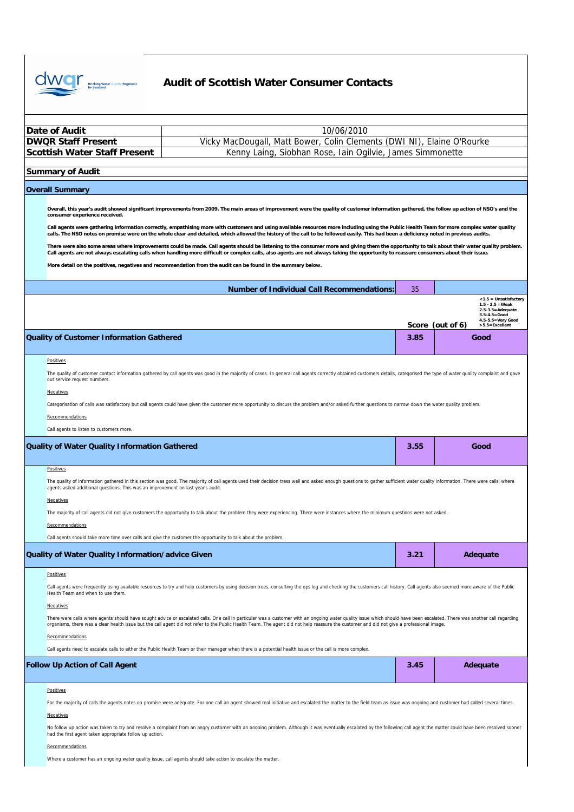

| Date of Audit                                                                                                                        | 10/06/2010                                                                                                                                                                                                                                                                                                                                                                                                                                                                                                                                                                                                                                                                                                                                                                                                                                                                                                                                                                                                                                                                                                                                                                                                                                                                                                                                                                          |            |                                                                                                                                                                      |  |  |
|--------------------------------------------------------------------------------------------------------------------------------------|-------------------------------------------------------------------------------------------------------------------------------------------------------------------------------------------------------------------------------------------------------------------------------------------------------------------------------------------------------------------------------------------------------------------------------------------------------------------------------------------------------------------------------------------------------------------------------------------------------------------------------------------------------------------------------------------------------------------------------------------------------------------------------------------------------------------------------------------------------------------------------------------------------------------------------------------------------------------------------------------------------------------------------------------------------------------------------------------------------------------------------------------------------------------------------------------------------------------------------------------------------------------------------------------------------------------------------------------------------------------------------------|------------|----------------------------------------------------------------------------------------------------------------------------------------------------------------------|--|--|
| <b>DWQR Staff Present</b>                                                                                                            | Vicky MacDougall, Matt Bower, Colin Clements (DWI NI), Elaine O'Rourke                                                                                                                                                                                                                                                                                                                                                                                                                                                                                                                                                                                                                                                                                                                                                                                                                                                                                                                                                                                                                                                                                                                                                                                                                                                                                                              |            |                                                                                                                                                                      |  |  |
| <b>Scottish Water Staff Present</b>                                                                                                  | Kenny Laing, Siobhan Rose, Iain Ogilvie, James Simmonette                                                                                                                                                                                                                                                                                                                                                                                                                                                                                                                                                                                                                                                                                                                                                                                                                                                                                                                                                                                                                                                                                                                                                                                                                                                                                                                           |            |                                                                                                                                                                      |  |  |
|                                                                                                                                      |                                                                                                                                                                                                                                                                                                                                                                                                                                                                                                                                                                                                                                                                                                                                                                                                                                                                                                                                                                                                                                                                                                                                                                                                                                                                                                                                                                                     |            |                                                                                                                                                                      |  |  |
| <b>Summary of Audit</b>                                                                                                              |                                                                                                                                                                                                                                                                                                                                                                                                                                                                                                                                                                                                                                                                                                                                                                                                                                                                                                                                                                                                                                                                                                                                                                                                                                                                                                                                                                                     |            |                                                                                                                                                                      |  |  |
| <b>Overall Summary</b>                                                                                                               |                                                                                                                                                                                                                                                                                                                                                                                                                                                                                                                                                                                                                                                                                                                                                                                                                                                                                                                                                                                                                                                                                                                                                                                                                                                                                                                                                                                     |            |                                                                                                                                                                      |  |  |
| consumer experience received.<br><b>Quality of Customer Information Gathered</b><br><b>Positives</b><br>out service request numbers. | Overall, this year's audit showed significant improvements from 2009. The main areas of improvement were the quality of customer information gathered, the follow up action of NSO's and the<br>Call agents were gathering information correctly, empathising more with customers and using available resources more including using the Public Health Team for more complex water quality<br>calls. The NSO notes on promise were on the whole clear and detailed, which allowed the history of the call to be followed easily. This had been a deficiency noted in previous audits.<br>There were also some areas where improvements could be made. Call agents should be listening to the consumer more and giving them the opportunity to talk about their water quality problem.<br>Call agents are not always escalating calls when handling more difficult or complex calls, also agents are not always taking the opportunity to reassure consumers about their issue.<br>More detail on the positives, negatives and recommendation from the audit can be found in the summary below.<br><b>Number of Individual Call Recommendations:</b><br>The quality of customer contact information gathered by call agents was good in the majority of cases. In general call agents correctly obtained customers details, categorised the type of water quality complaint and gave | 35<br>3.85 | <1.5 = Unsatisfactory<br>$1.5 - 2.5 = Weak$<br>$2.5 - 3.5 =$ Adequate<br>$3.5 - 4.5 = Good$<br>$4.5 - 5.5 = Very Good$<br>Score (out of 6)<br>>5.5=Excellent<br>Good |  |  |
| Negatives<br>Recommendations<br>Call agents to listen to customers more.<br><b>Quality of Water Quality Information Gathered</b>     | Categorisation of calls was satisfactory but call agents could have given the customer more opportunity to discuss the problem and/or asked further questions to narrow down the water quality problem.                                                                                                                                                                                                                                                                                                                                                                                                                                                                                                                                                                                                                                                                                                                                                                                                                                                                                                                                                                                                                                                                                                                                                                             | 3.55       | Good                                                                                                                                                                 |  |  |
|                                                                                                                                      |                                                                                                                                                                                                                                                                                                                                                                                                                                                                                                                                                                                                                                                                                                                                                                                                                                                                                                                                                                                                                                                                                                                                                                                                                                                                                                                                                                                     |            |                                                                                                                                                                      |  |  |
| <b>Positives</b><br>agents asked additional questions. This was an improvement on last year's audit.<br>Negatives<br>Recommendations | The quality of information gathered in this section was good. The majority of call agents used their decision tress well and asked enough questions to gather sufficient water quality information. There were callsl where<br>The majority of call agents did not give customers the opportunity to talk about the problem they were experiencing. There were instances where the minimum questions were not asked.                                                                                                                                                                                                                                                                                                                                                                                                                                                                                                                                                                                                                                                                                                                                                                                                                                                                                                                                                                |            |                                                                                                                                                                      |  |  |
| Call agents should take more time over calls and give the customer the opportunity to talk about the problem.                        |                                                                                                                                                                                                                                                                                                                                                                                                                                                                                                                                                                                                                                                                                                                                                                                                                                                                                                                                                                                                                                                                                                                                                                                                                                                                                                                                                                                     |            |                                                                                                                                                                      |  |  |
| Quality of Water Quality Information/advice Given                                                                                    |                                                                                                                                                                                                                                                                                                                                                                                                                                                                                                                                                                                                                                                                                                                                                                                                                                                                                                                                                                                                                                                                                                                                                                                                                                                                                                                                                                                     | 3.21       | Adequate                                                                                                                                                             |  |  |
| <b>Positives</b><br>Health Team and when to use them.<br>Negatives<br>Recommendations                                                | Call agents were frequently using available resources to try and help customers by using decision trees, consulting the ops log and checking the customers call history. Call agents also seemed more aware of the Public<br>There were calls where agents should have sought advice or escalated calls. One call in particular was a customer with an ongoing water quality issue which should have been escalated. There was another call regarding<br>organisms, there was a clear health issue but the call agent did not refer to the Public Health Team. The agent did not help reassure the customer and did not give a professional image.<br>Call agents need to escalate calls to either the Public Health Team or their manager when there is a potential health issue or the call is more complex.                                                                                                                                                                                                                                                                                                                                                                                                                                                                                                                                                                      |            |                                                                                                                                                                      |  |  |
| <b>Follow Up Action of Call Agent</b>                                                                                                |                                                                                                                                                                                                                                                                                                                                                                                                                                                                                                                                                                                                                                                                                                                                                                                                                                                                                                                                                                                                                                                                                                                                                                                                                                                                                                                                                                                     | 3.45       |                                                                                                                                                                      |  |  |
|                                                                                                                                      |                                                                                                                                                                                                                                                                                                                                                                                                                                                                                                                                                                                                                                                                                                                                                                                                                                                                                                                                                                                                                                                                                                                                                                                                                                                                                                                                                                                     |            | Adequate                                                                                                                                                             |  |  |
| <b>Positives</b>                                                                                                                     |                                                                                                                                                                                                                                                                                                                                                                                                                                                                                                                                                                                                                                                                                                                                                                                                                                                                                                                                                                                                                                                                                                                                                                                                                                                                                                                                                                                     |            |                                                                                                                                                                      |  |  |
| Negatives<br>had the first agent taken appropriate follow up action.<br>Recommendations                                              | For the majority of calls the agents notes on promise were adequate. For one call an agent showed real initiative and escalated the matter to the field team as issue was ongoing and customer had called several times.<br>No follow up action was taken to try and resolve a complaint from an angry customer with an ongoing problem. Although it was eventually escalated by the following call agent the matter could have been resolved sooner                                                                                                                                                                                                                                                                                                                                                                                                                                                                                                                                                                                                                                                                                                                                                                                                                                                                                                                                |            |                                                                                                                                                                      |  |  |

Where a customer has an ongoing water quality issue, call agents should take action to escalate the matter.